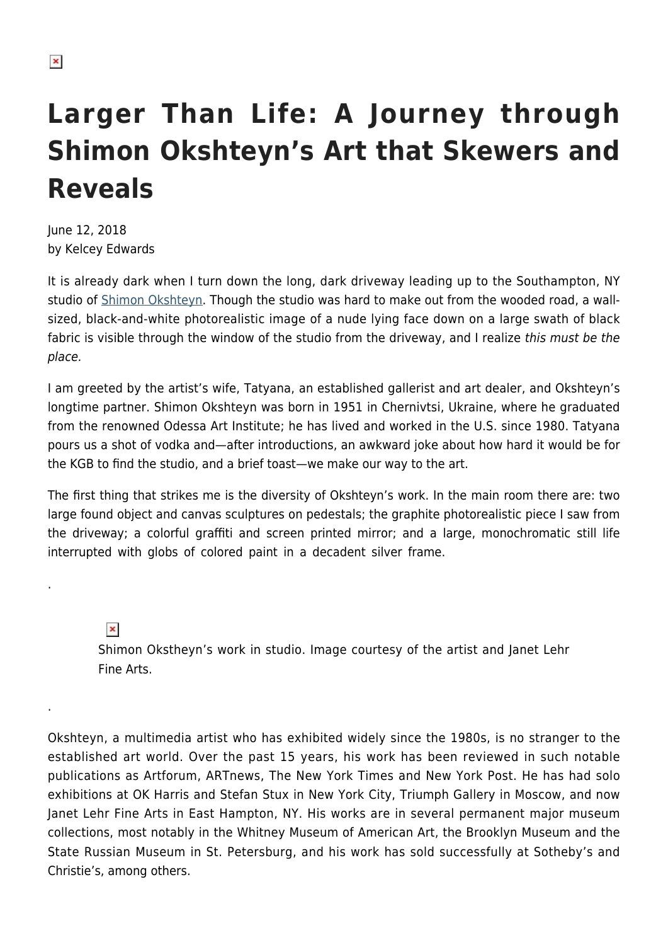## **Larger Than Life: A Journey through Shimon Okshteyn's Art that Skewers and Reveals**

June 12, 2018 by Kelcey Edwards

It is already dark when I turn down the long, dark driveway leading up to the Southampton, NY studio of [Shimon Okshteyn.](http://www.okshteyn.com/) Though the studio was hard to make out from the wooded road, a wallsized, black-and-white photorealistic image of a nude lying face down on a large swath of black fabric is visible through the window of the studio from the driveway, and I realize this must be the place.

I am greeted by the artist's wife, Tatyana, an established gallerist and art dealer, and Okshteyn's longtime partner. Shimon Okshteyn was born in 1951 in Chernivtsi, Ukraine, where he graduated from the renowned Odessa Art Institute; he has lived and worked in the U.S. since 1980. Tatyana pours us a shot of vodka and—after introductions, an awkward joke about how hard it would be for the KGB to find the studio, and a brief toast—we make our way to the art.

The first thing that strikes me is the diversity of Okshteyn's work. In the main room there are: two large found object and canvas sculptures on pedestals; the graphite photorealistic piece I saw from the driveway; a colorful graffiti and screen printed mirror; and a large, monochromatic still life interrupted with globs of colored paint in a decadent silver frame.

 $\pmb{\times}$ 

.

.

Shimon Okstheyn's work in studio. Image courtesy of the artist and Janet Lehr Fine Arts.

Okshteyn, a multimedia artist who has exhibited widely since the 1980s, is no stranger to the established art world. Over the past 15 years, his work has been reviewed in such notable publications as Artforum, ARTnews, The New York Times and New York Post. He has had solo exhibitions at OK Harris and Stefan Stux in New York City, Triumph Gallery in Moscow, and now Janet Lehr Fine Arts in East Hampton, NY. His works are in several permanent major museum collections, most notably in the Whitney Museum of American Art, the Brooklyn Museum and the State Russian Museum in St. Petersburg, and his work has sold successfully at Sotheby's and Christie's, among others.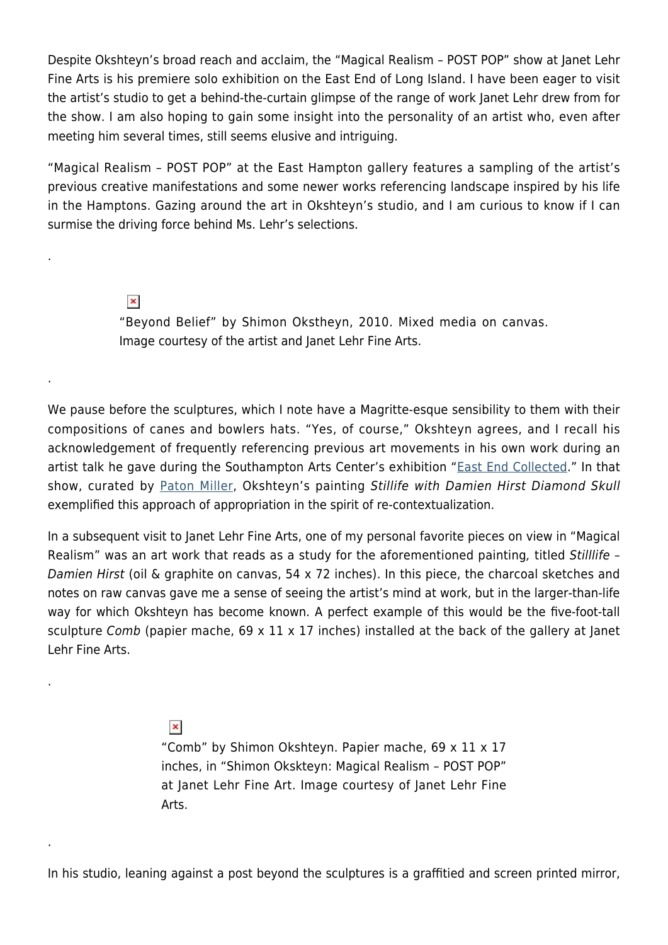Despite Okshteyn's broad reach and acclaim, the "Magical Realism – POST POP" show at Janet Lehr Fine Arts is his premiere solo exhibition on the East End of Long Island. I have been eager to visit the artist's studio to get a behind-the-curtain glimpse of the range of work Janet Lehr drew from for the show. I am also hoping to gain some insight into the personality of an artist who, even after meeting him several times, still seems elusive and intriguing.

"Magical Realism – POST POP" at the East Hampton gallery features a sampling of the artist's previous creative manifestations and some newer works referencing landscape inspired by his life in the Hamptons. Gazing around the art in Okshteyn's studio, and I am curious to know if I can surmise the driving force behind Ms. Lehr's selections.

> $\pmb{\times}$ "Beyond Belief" by Shimon Okstheyn, 2010. Mixed media on canvas. Image courtesy of the artist and Janet Lehr Fine Arts.

We pause before the sculptures, which I note have a Magritte-esque sensibility to them with their compositions of canes and bowlers hats. "Yes, of course," Okshteyn agrees, and I recall his acknowledgement of frequently referencing previous art movements in his own work during an artist talk he gave during the Southampton Arts Center's exhibition "[East End Collected.](https://hamptonsarthub.com/2017/05/25/features-talking-with-paton-miller-discusses-hamptons-artists-curating-east-end-collected/)" In that show, curated by [Paton Miller,](https://hamptonsarthub.com/2017/05/25/features-talking-with-paton-miller-discusses-hamptons-artists-curating-east-end-collected/) Okshteyn's painting Stillife with Damien Hirst Diamond Skull exemplified this approach of appropriation in the spirit of re-contextualization.

In a subsequent visit to Janet Lehr Fine Arts, one of my personal favorite pieces on view in "Magical Realism" was an art work that reads as a study for the aforementioned painting, titled Stilllife -Damien Hirst (oil & graphite on canvas, 54 x 72 inches). In this piece, the charcoal sketches and notes on raw canvas gave me a sense of seeing the artist's mind at work, but in the larger-than-life way for which Okshteyn has become known. A perfect example of this would be the five-foot-tall sculpture Comb (papier mache, 69 x 11 x 17 inches) installed at the back of the gallery at Janet Lehr Fine Arts.

 $\pmb{\times}$ 

.

.

.

.

"Comb" by Shimon Okshteyn. Papier mache, 69 x 11 x 17 inches, in "Shimon Okskteyn: Magical Realism – POST POP" at Janet Lehr Fine Art. Image courtesy of Janet Lehr Fine Arts.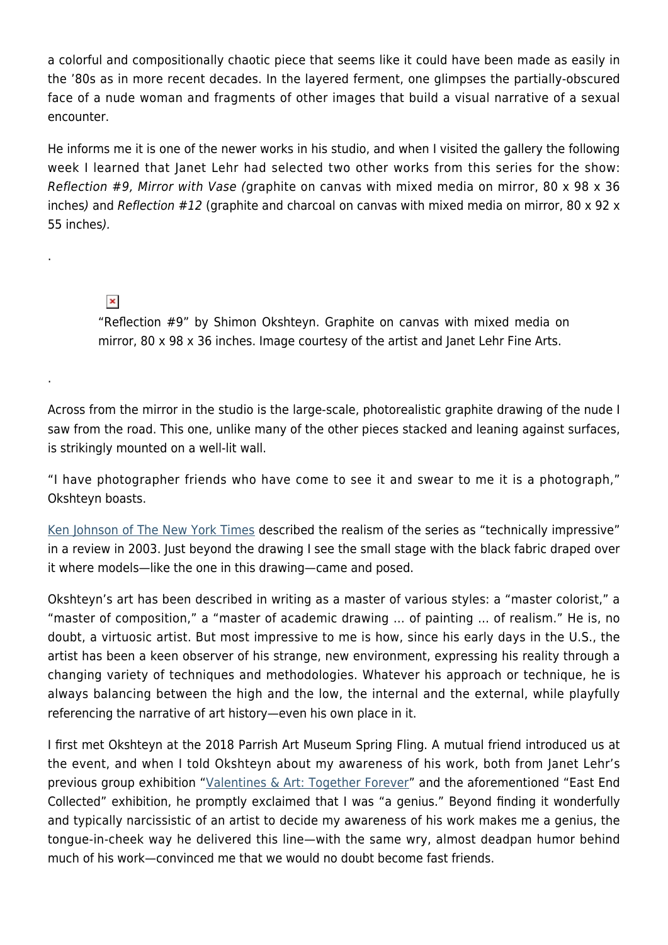a colorful and compositionally chaotic piece that seems like it could have been made as easily in the '80s as in more recent decades. In the layered ferment, one glimpses the partially-obscured face of a nude woman and fragments of other images that build a visual narrative of a sexual encounter.

He informs me it is one of the newer works in his studio, and when I visited the gallery the following week I learned that Janet Lehr had selected two other works from this series for the show: Reflection #9, Mirror with Vase (graphite on canvas with mixed media on mirror, 80 x 98 x 36 inches) and Reflection #12 (graphite and charcoal on canvas with mixed media on mirror, 80 x 92 x 55 inches).

 $\pmb{\times}$ 

.

.

"Reflection #9" by Shimon Okshteyn. Graphite on canvas with mixed media on mirror, 80 x 98 x 36 inches. Image courtesy of the artist and Janet Lehr Fine Arts.

Across from the mirror in the studio is the large-scale, photorealistic graphite drawing of the nude I saw from the road. This one, unlike many of the other pieces stacked and leaning against surfaces, is strikingly mounted on a well-lit wall.

"I have photographer friends who have come to see it and swear to me it is a photograph," Okshteyn boasts.

[Ken Johnson of The New York Times](https://www.nytimes.com/2003/03/14/arts/art-guide.html) described the realism of the series as "technically impressive" in a review in 2003. Just beyond the drawing I see the small stage with the black fabric draped over it where models—like the one in this drawing—came and posed.

Okshteyn's art has been described in writing as a master of various styles: a "master colorist," a "master of composition," a "master of academic drawing … of painting … of realism." He is, no doubt, a virtuosic artist. But most impressive to me is how, since his early days in the U.S., the artist has been a keen observer of his strange, new environment, expressing his reality through a changing variety of techniques and methodologies. Whatever his approach or technique, he is always balancing between the high and the low, the internal and the external, while playfully referencing the narrative of art history—even his own place in it.

I first met Okshteyn at the 2018 Parrish Art Museum Spring Fling. A mutual friend introduced us at the event, and when I told Okshteyn about my awareness of his work, both from Janet Lehr's previous group exhibition "[Valentines & Art: Together Forever"](https://hamptonsarthub.com/2018/03/07/reviews-art-review-artists-respond-to-challenge-to-think-red-at-janet-lehr-gallery/) and the aforementioned "East End Collected" exhibition, he promptly exclaimed that I was "a genius." Beyond finding it wonderfully and typically narcissistic of an artist to decide my awareness of his work makes me a genius, the tongue-in-cheek way he delivered this line—with the same wry, almost deadpan humor behind much of his work—convinced me that we would no doubt become fast friends.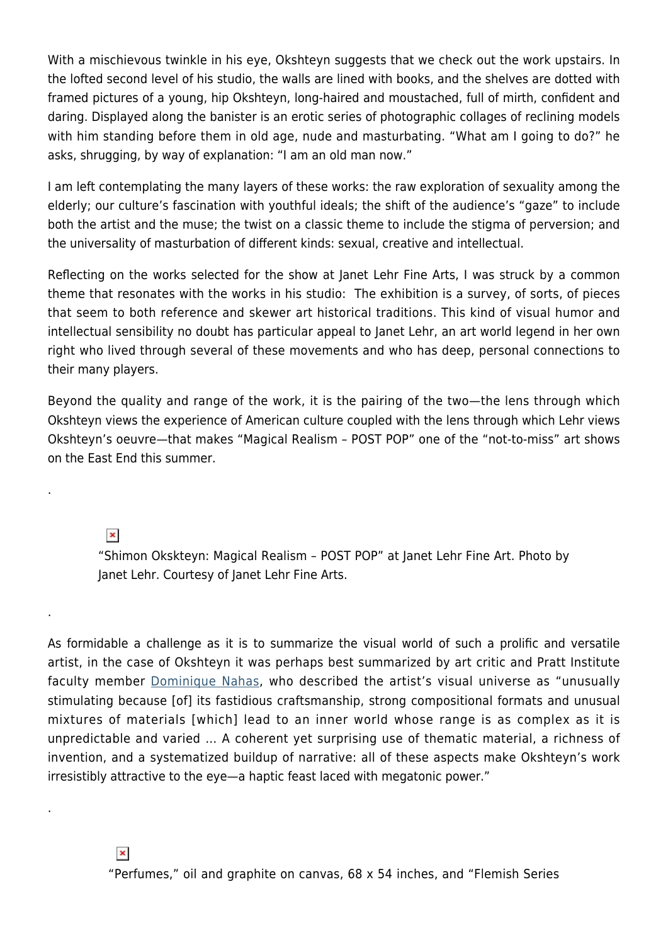With a mischievous twinkle in his eye, Okshteyn suggests that we check out the work upstairs. In the lofted second level of his studio, the walls are lined with books, and the shelves are dotted with framed pictures of a young, hip Okshteyn, long-haired and moustached, full of mirth, confident and daring. Displayed along the banister is an erotic series of photographic collages of reclining models with him standing before them in old age, nude and masturbating. "What am I going to do?" he asks, shrugging, by way of explanation: "I am an old man now."

I am left contemplating the many layers of these works: the raw exploration of sexuality among the elderly; our culture's fascination with youthful ideals; the shift of the audience's "gaze" to include both the artist and the muse; the twist on a classic theme to include the stigma of perversion; and the universality of masturbation of different kinds: sexual, creative and intellectual.

Reflecting on the works selected for the show at Janet Lehr Fine Arts, I was struck by a common theme that resonates with the works in his studio: The exhibition is a survey, of sorts, of pieces that seem to both reference and skewer art historical traditions. This kind of visual humor and intellectual sensibility no doubt has particular appeal to Janet Lehr, an art world legend in her own right who lived through several of these movements and who has deep, personal connections to their many players.

Beyond the quality and range of the work, it is the pairing of the two—the lens through which Okshteyn views the experience of American culture coupled with the lens through which Lehr views Okshteyn's oeuvre—that makes "Magical Realism – POST POP" one of the "not-to-miss" art shows on the East End this summer.

 $\pmb{\times}$ 

.

.

.

"Shimon Okskteyn: Magical Realism – POST POP" at Janet Lehr Fine Art. Photo by Janet Lehr. Courtesy of Janet Lehr Fine Arts.

As formidable a challenge as it is to summarize the visual world of such a prolific and versatile artist, in the case of Okshteyn it was perhaps best summarized by art critic and Pratt Institute faculty member [Dominique Nahas](https://wsimag.com/art/32829-shimon-okshteyn), who described the artist's visual universe as "unusually stimulating because [of] its fastidious craftsmanship, strong compositional formats and unusual mixtures of materials [which] lead to an inner world whose range is as complex as it is unpredictable and varied … A coherent yet surprising use of thematic material, a richness of invention, and a systematized buildup of narrative: all of these aspects make Okshteyn's work irresistibly attractive to the eye—a haptic feast laced with megatonic power."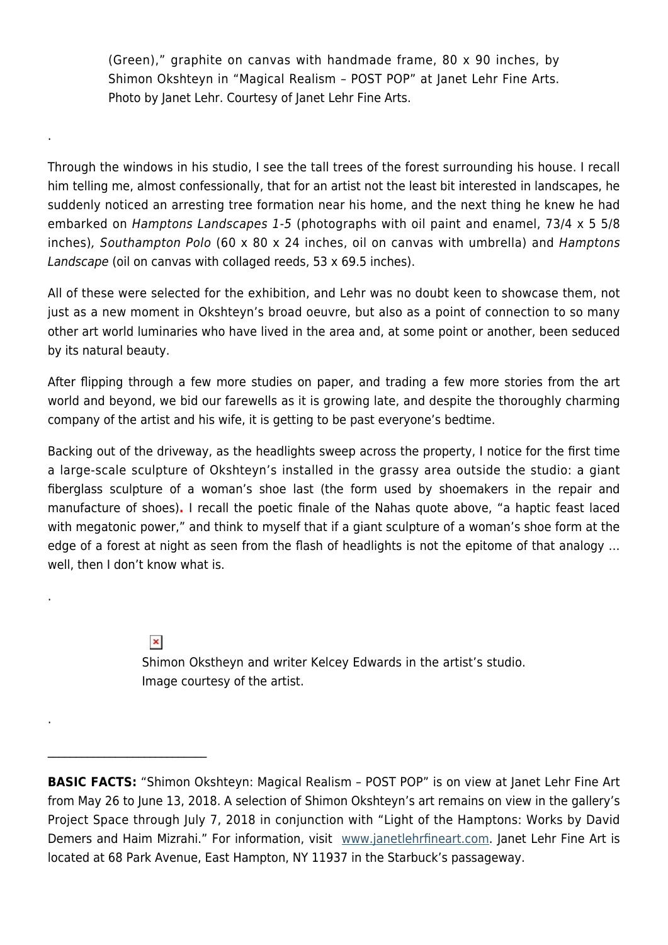(Green)," graphite on canvas with handmade frame, 80 x 90 inches, by Shimon Okshteyn in "Magical Realism – POST POP" at Janet Lehr Fine Arts. Photo by Janet Lehr. Courtesy of Janet Lehr Fine Arts.

Through the windows in his studio, I see the tall trees of the forest surrounding his house. I recall him telling me, almost confessionally, that for an artist not the least bit interested in landscapes, he suddenly noticed an arresting tree formation near his home, and the next thing he knew he had embarked on Hamptons Landscapes 1-5 (photographs with oil paint and enamel, 73/4 x 5 5/8 inches), Southampton Polo (60 x 80 x 24 inches, oil on canvas with umbrella) and Hamptons Landscape (oil on canvas with collaged reeds, 53 x 69.5 inches).

All of these were selected for the exhibition, and Lehr was no doubt keen to showcase them, not just as a new moment in Okshteyn's broad oeuvre, but also as a point of connection to so many other art world luminaries who have lived in the area and, at some point or another, been seduced by its natural beauty.

After flipping through a few more studies on paper, and trading a few more stories from the art world and beyond, we bid our farewells as it is growing late, and despite the thoroughly charming company of the artist and his wife, it is getting to be past everyone's bedtime.

Backing out of the driveway, as the headlights sweep across the property, I notice for the first time a large-scale sculpture of Okshteyn's installed in the grassy area outside the studio: a giant fiberglass sculpture of a woman's shoe last (the form used by shoemakers in the repair and manufacture of shoes)**.** I recall the poetic finale of the Nahas quote above, "a haptic feast laced with megatonic power," and think to myself that if a giant sculpture of a woman's shoe form at the edge of a forest at night as seen from the flash of headlights is not the epitome of that analogy … well, then I don't know what is.

 $\pmb{\times}$ 

 $\mathcal{L}_\text{max}$  and  $\mathcal{L}_\text{max}$  and  $\mathcal{L}_\text{max}$ 

.

.

.

Shimon Okstheyn and writer Kelcey Edwards in the artist's studio. Image courtesy of the artist.

**BASIC FACTS:** "Shimon Okshteyn: Magical Realism – POST POP" is on view at Janet Lehr Fine Art from May 26 to June 13, 2018. A selection of Shimon Okshteyn's art remains on view in the gallery's Project Space through July 7, 2018 in conjunction with "Light of the Hamptons: Works by David Demers and Haim Mizrahi." For information, visit [www.janetlehrfineart.com](http://www.janetlehrfineart.com/). Janet Lehr Fine Art is located at 68 Park Avenue, East Hampton, NY 11937 in the Starbuck's passageway.